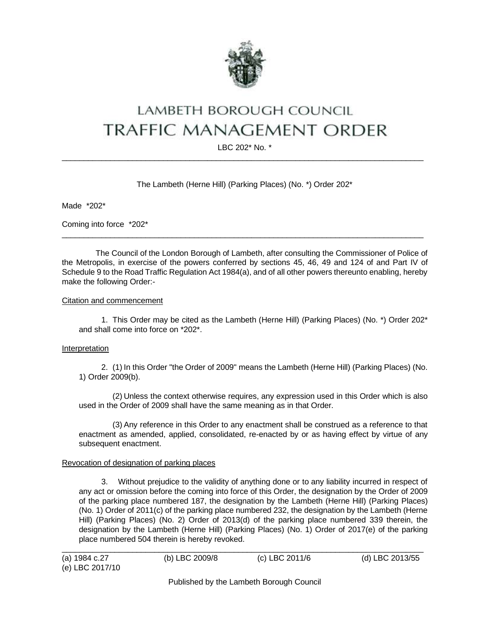

# LAMBETH BOROUGH COUNCIL **TRAFFIC MANAGEMENT ORDER**

LBC 202\* No. \*  $\_$  ,  $\_$  ,  $\_$  ,  $\_$  ,  $\_$  ,  $\_$  ,  $\_$  ,  $\_$  ,  $\_$  ,  $\_$  ,  $\_$  ,  $\_$  ,  $\_$  ,  $\_$  ,  $\_$  ,  $\_$  ,  $\_$  ,  $\_$  ,  $\_$  ,  $\_$  ,  $\_$  ,  $\_$  ,  $\_$  ,  $\_$  ,  $\_$  ,  $\_$  ,  $\_$  ,  $\_$  ,  $\_$  ,  $\_$  ,  $\_$  ,  $\_$  ,  $\_$  ,  $\_$  ,  $\_$  ,  $\_$  ,  $\_$  ,

## The Lambeth (Herne Hill) (Parking Places) (No. \*) Order 202\*

Made \*202\*

Coming into force \*202\*

The Council of the London Borough of Lambeth, after consulting the Commissioner of Police of the Metropolis, in exercise of the powers conferred by sections 45, 46, 49 and 124 of and Part IV of Schedule 9 to the Road Traffic Regulation Act 1984(a), and of all other powers thereunto enabling, hereby make the following Order:-

 $\_$  ,  $\_$  ,  $\_$  ,  $\_$  ,  $\_$  ,  $\_$  ,  $\_$  ,  $\_$  ,  $\_$  ,  $\_$  ,  $\_$  ,  $\_$  ,  $\_$  ,  $\_$  ,  $\_$  ,  $\_$  ,  $\_$  ,  $\_$  ,  $\_$  ,  $\_$  ,  $\_$  ,  $\_$  ,  $\_$  ,  $\_$  ,  $\_$  ,  $\_$  ,  $\_$  ,  $\_$  ,  $\_$  ,  $\_$  ,  $\_$  ,  $\_$  ,  $\_$  ,  $\_$  ,  $\_$  ,  $\_$  ,  $\_$  ,

## Citation and commencement

1. This Order may be cited as the Lambeth (Herne Hill) (Parking Places) (No. \*) Order 202\* and shall come into force on \*202\*.

#### Interpretation

2. (1) In this Order "the Order of 2009" means the Lambeth (Herne Hill) (Parking Places) (No. 1) Order 2009(b).

(2) Unless the context otherwise requires, any expression used in this Order which is also used in the Order of 2009 shall have the same meaning as in that Order.

(3) Any reference in this Order to any enactment shall be construed as a reference to that enactment as amended, applied, consolidated, re-enacted by or as having effect by virtue of any subsequent enactment.

## Revocation of designation of parking places

3. Without prejudice to the validity of anything done or to any liability incurred in respect of any act or omission before the coming into force of this Order, the designation by the Order of 2009 of the parking place numbered 187, the designation by the Lambeth (Herne Hill) (Parking Places) (No. 1) Order of 2011(c) of the parking place numbered 232, the designation by the Lambeth (Herne Hill) (Parking Places) (No. 2) Order of 2013(d) of the parking place numbered 339 therein, the designation by the Lambeth (Herne Hill) (Parking Places) (No. 1) Order of 2017(e) of the parking place numbered 504 therein is hereby revoked.

| (a) 1984 c.27   | (b) LBC 2009/8 | (c) LBC 2011/6 | (d) LBC 2013/55 |
|-----------------|----------------|----------------|-----------------|
| (e) LBC 2017/10 |                |                |                 |

Published by the Lambeth Borough Council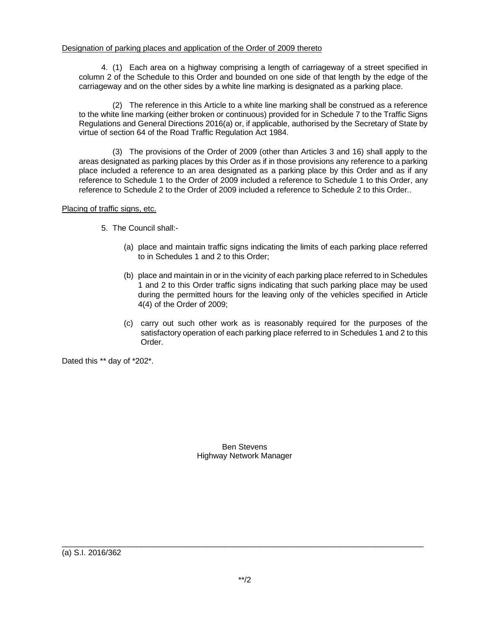## Designation of parking places and application of the Order of 2009 thereto

4. (1) Each area on a highway comprising a length of carriageway of a street specified in column 2 of the Schedule to this Order and bounded on one side of that length by the edge of the carriageway and on the other sides by a white line marking is designated as a parking place.

(2) The reference in this Article to a white line marking shall be construed as a reference to the white line marking (either broken or continuous) provided for in Schedule 7 to the Traffic Signs Regulations and General Directions 2016(a) or, if applicable, authorised by the Secretary of State by virtue of section 64 of the Road Traffic Regulation Act 1984.

(3) The provisions of the Order of 2009 (other than Articles 3 and 16) shall apply to the areas designated as parking places by this Order as if in those provisions any reference to a parking place included a reference to an area designated as a parking place by this Order and as if any reference to Schedule 1 to the Order of 2009 included a reference to Schedule 1 to this Order, any reference to Schedule 2 to the Order of 2009 included a reference to Schedule 2 to this Order..

## Placing of traffic signs, etc.

- 5. The Council shall:-
	- (a) place and maintain traffic signs indicating the limits of each parking place referred to in Schedules 1 and 2 to this Order;
	- (b) place and maintain in or in the vicinity of each parking place referred to in Schedules 1 and 2 to this Order traffic signs indicating that such parking place may be used during the permitted hours for the leaving only of the vehicles specified in Article 4(4) of the Order of 2009;
	- (c) carry out such other work as is reasonably required for the purposes of the satisfactory operation of each parking place referred to in Schedules 1 and 2 to this Order.

Dated this \*\* day of \*202\*.

Ben Stevens Highway Network Manager

(a) S.I. 2016/362

\_\_\_\_\_\_\_\_\_\_\_\_\_\_\_\_\_\_\_\_\_\_\_\_\_\_\_\_\_\_\_\_\_\_\_\_\_\_\_\_\_\_\_\_\_\_\_\_\_\_\_\_\_\_\_\_\_\_\_\_\_\_\_\_\_\_\_\_\_\_\_\_\_\_\_\_\_\_\_\_\_\_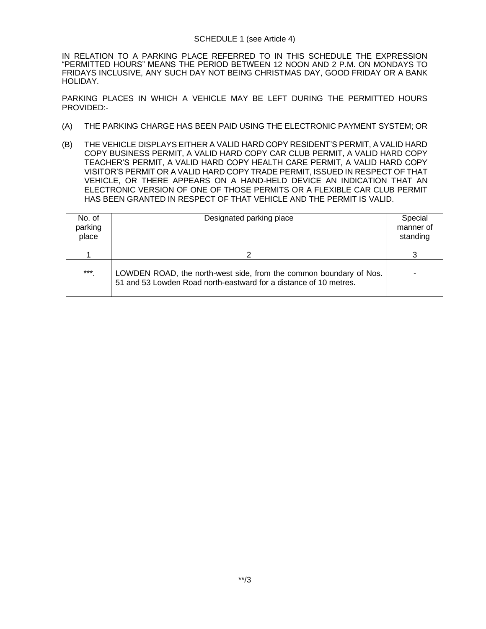## SCHEDULE 1 (see Article 4)

IN RELATION TO A PARKING PLACE REFERRED TO IN THIS SCHEDULE THE EXPRESSION "PERMITTED HOURS" MEANS THE PERIOD BETWEEN 12 NOON AND 2 P.M. ON MONDAYS TO FRIDAYS INCLUSIVE, ANY SUCH DAY NOT BEING CHRISTMAS DAY, GOOD FRIDAY OR A BANK HOLIDAY.

PARKING PLACES IN WHICH A VEHICLE MAY BE LEFT DURING THE PERMITTED HOURS PROVIDED:-

- (A) THE PARKING CHARGE HAS BEEN PAID USING THE ELECTRONIC PAYMENT SYSTEM; OR
- (B) THE VEHICLE DISPLAYS EITHER A VALID HARD COPY RESIDENT'S PERMIT, A VALID HARD COPY BUSINESS PERMIT, A VALID HARD COPY CAR CLUB PERMIT, A VALID HARD COPY TEACHER'S PERMIT, A VALID HARD COPY HEALTH CARE PERMIT, A VALID HARD COPY VISITOR'S PERMIT OR A VALID HARD COPY TRADE PERMIT, ISSUED IN RESPECT OF THAT VEHICLE, OR THERE APPEARS ON A HAND-HELD DEVICE AN INDICATION THAT AN ELECTRONIC VERSION OF ONE OF THOSE PERMITS OR A FLEXIBLE CAR CLUB PERMIT HAS BEEN GRANTED IN RESPECT OF THAT VEHICLE AND THE PERMIT IS VALID.

| No. of<br>parking<br>place | Designated parking place                                                                                                                | Special<br>manner of<br>standing |
|----------------------------|-----------------------------------------------------------------------------------------------------------------------------------------|----------------------------------|
|                            |                                                                                                                                         |                                  |
| $***$                      | LOWDEN ROAD, the north-west side, from the common boundary of Nos.<br>51 and 53 Lowden Road north-eastward for a distance of 10 metres. |                                  |